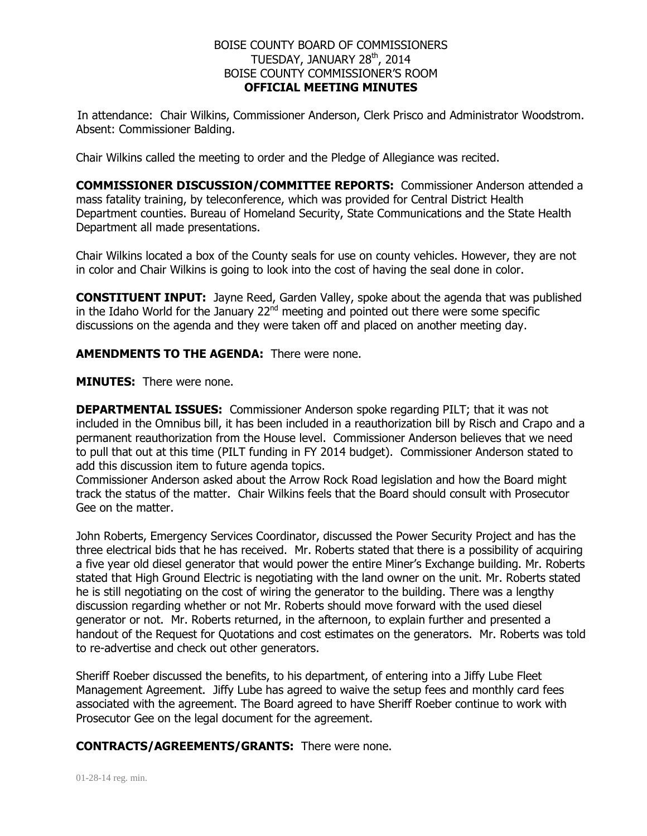## BOISE COUNTY BOARD OF COMMISSIONERS TUESDAY, JANUARY 28<sup>th</sup>, 2014 BOISE COUNTY COMMISSIONER'S ROOM **OFFICIAL MEETING MINUTES**

In attendance: Chair Wilkins, Commissioner Anderson, Clerk Prisco and Administrator Woodstrom. Absent: Commissioner Balding.

Chair Wilkins called the meeting to order and the Pledge of Allegiance was recited.

**COMMISSIONER DISCUSSION/COMMITTEE REPORTS:** Commissioner Anderson attended a mass fatality training, by teleconference, which was provided for Central District Health Department counties. Bureau of Homeland Security, State Communications and the State Health Department all made presentations.

Chair Wilkins located a box of the County seals for use on county vehicles. However, they are not in color and Chair Wilkins is going to look into the cost of having the seal done in color.

**CONSTITUENT INPUT:** Jayne Reed, Garden Valley, spoke about the agenda that was published in the Idaho World for the January  $22<sup>nd</sup>$  meeting and pointed out there were some specific discussions on the agenda and they were taken off and placed on another meeting day.

**AMENDMENTS TO THE AGENDA:** There were none.

**MINUTES:** There were none.

**DEPARTMENTAL ISSUES:** Commissioner Anderson spoke regarding PILT; that it was not included in the Omnibus bill, it has been included in a reauthorization bill by Risch and Crapo and a permanent reauthorization from the House level. Commissioner Anderson believes that we need to pull that out at this time (PILT funding in FY 2014 budget). Commissioner Anderson stated to add this discussion item to future agenda topics.

Commissioner Anderson asked about the Arrow Rock Road legislation and how the Board might track the status of the matter. Chair Wilkins feels that the Board should consult with Prosecutor Gee on the matter.

John Roberts, Emergency Services Coordinator, discussed the Power Security Project and has the three electrical bids that he has received. Mr. Roberts stated that there is a possibility of acquiring a five year old diesel generator that would power the entire Miner's Exchange building. Mr. Roberts stated that High Ground Electric is negotiating with the land owner on the unit. Mr. Roberts stated he is still negotiating on the cost of wiring the generator to the building. There was a lengthy discussion regarding whether or not Mr. Roberts should move forward with the used diesel generator or not. Mr. Roberts returned, in the afternoon, to explain further and presented a handout of the Request for Quotations and cost estimates on the generators. Mr. Roberts was told to re-advertise and check out other generators.

Sheriff Roeber discussed the benefits, to his department, of entering into a Jiffy Lube Fleet Management Agreement. Jiffy Lube has agreed to waive the setup fees and monthly card fees associated with the agreement. The Board agreed to have Sheriff Roeber continue to work with Prosecutor Gee on the legal document for the agreement.

## **CONTRACTS/AGREEMENTS/GRANTS:** There were none.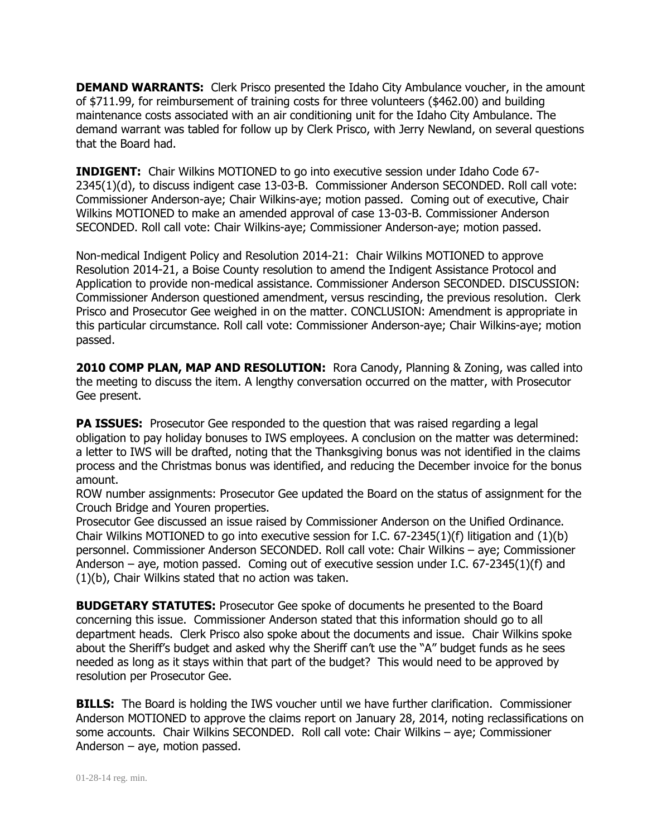**DEMAND WARRANTS:** Clerk Prisco presented the Idaho City Ambulance voucher, in the amount of \$711.99, for reimbursement of training costs for three volunteers (\$462.00) and building maintenance costs associated with an air conditioning unit for the Idaho City Ambulance. The demand warrant was tabled for follow up by Clerk Prisco, with Jerry Newland, on several questions that the Board had.

**INDIGENT:** Chair Wilkins MOTIONED to go into executive session under Idaho Code 67- 2345(1)(d), to discuss indigent case 13-03-B. Commissioner Anderson SECONDED. Roll call vote: Commissioner Anderson-aye; Chair Wilkins-aye; motion passed. Coming out of executive, Chair Wilkins MOTIONED to make an amended approval of case 13-03-B. Commissioner Anderson SECONDED. Roll call vote: Chair Wilkins-aye; Commissioner Anderson-aye; motion passed.

Non-medical Indigent Policy and Resolution 2014-21: Chair Wilkins MOTIONED to approve Resolution 2014-21, a Boise County resolution to amend the Indigent Assistance Protocol and Application to provide non-medical assistance. Commissioner Anderson SECONDED. DISCUSSION: Commissioner Anderson questioned amendment, versus rescinding, the previous resolution. Clerk Prisco and Prosecutor Gee weighed in on the matter. CONCLUSION: Amendment is appropriate in this particular circumstance. Roll call vote: Commissioner Anderson-aye; Chair Wilkins-aye; motion passed.

**2010 COMP PLAN, MAP AND RESOLUTION:** Rora Canody, Planning & Zoning, was called into the meeting to discuss the item. A lengthy conversation occurred on the matter, with Prosecutor Gee present.

**PA ISSUES:** Prosecutor Gee responded to the question that was raised regarding a legal obligation to pay holiday bonuses to IWS employees. A conclusion on the matter was determined: a letter to IWS will be drafted, noting that the Thanksgiving bonus was not identified in the claims process and the Christmas bonus was identified, and reducing the December invoice for the bonus amount.

ROW number assignments: Prosecutor Gee updated the Board on the status of assignment for the Crouch Bridge and Youren properties.

Prosecutor Gee discussed an issue raised by Commissioner Anderson on the Unified Ordinance. Chair Wilkins MOTIONED to go into executive session for I.C.  $67-2345(1)(f)$  litigation and  $(1)(b)$ personnel. Commissioner Anderson SECONDED. Roll call vote: Chair Wilkins – aye; Commissioner Anderson – aye, motion passed. Coming out of executive session under I.C. 67-2345(1)(f) and (1)(b), Chair Wilkins stated that no action was taken.

**BUDGETARY STATUTES:** Prosecutor Gee spoke of documents he presented to the Board concerning this issue. Commissioner Anderson stated that this information should go to all department heads. Clerk Prisco also spoke about the documents and issue. Chair Wilkins spoke about the Sheriff's budget and asked why the Sheriff can't use the "A" budget funds as he sees needed as long as it stays within that part of the budget? This would need to be approved by resolution per Prosecutor Gee.

**BILLS:** The Board is holding the IWS voucher until we have further clarification. Commissioner Anderson MOTIONED to approve the claims report on January 28, 2014, noting reclassifications on some accounts. Chair Wilkins SECONDED. Roll call vote: Chair Wilkins – aye; Commissioner Anderson – aye, motion passed.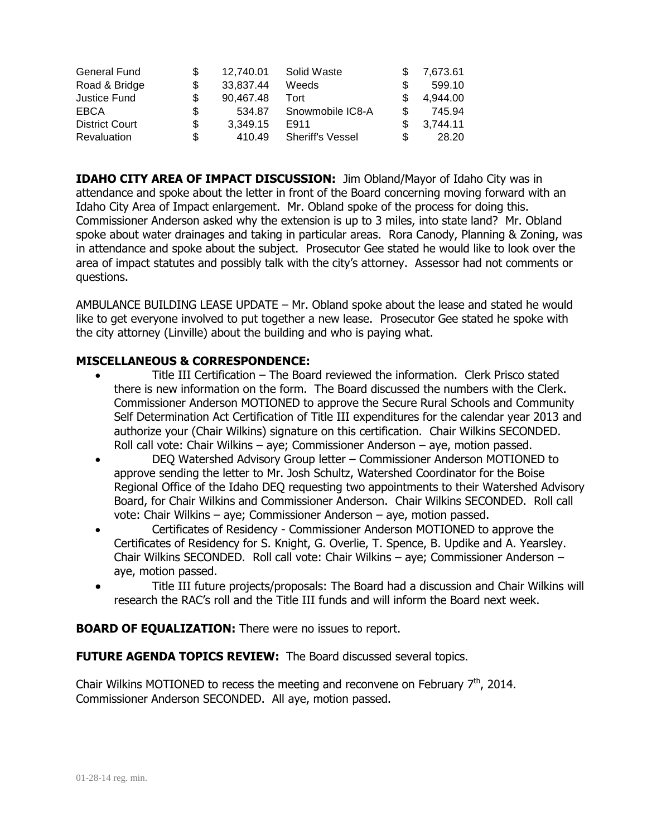| <b>General Fund</b>   |    | 12.740.01 | Solid Waste             | 7.673.61 |
|-----------------------|----|-----------|-------------------------|----------|
| Road & Bridge         |    | 33,837.44 | Weeds                   | 599.10   |
| Justice Fund          | \$ | 90.467.48 | Tort                    | 4,944.00 |
| EBCA                  | \$ | 534.87    | Snowmobile IC8-A        | 745.94   |
| <b>District Court</b> | \$ | 3.349.15  | E911                    | 3,744.11 |
| <b>Revaluation</b>    | S  | 410.49    | <b>Sheriff's Vessel</b> | 28.20    |

**IDAHO CITY AREA OF IMPACT DISCUSSION:** Jim Obland/Mayor of Idaho City was in attendance and spoke about the letter in front of the Board concerning moving forward with an Idaho City Area of Impact enlargement. Mr. Obland spoke of the process for doing this. Commissioner Anderson asked why the extension is up to 3 miles, into state land? Mr. Obland spoke about water drainages and taking in particular areas. Rora Canody, Planning & Zoning, was in attendance and spoke about the subject. Prosecutor Gee stated he would like to look over the area of impact statutes and possibly talk with the city's attorney. Assessor had not comments or questions.

AMBULANCE BUILDING LEASE UPDATE – Mr. Obland spoke about the lease and stated he would like to get everyone involved to put together a new lease. Prosecutor Gee stated he spoke with the city attorney (Linville) about the building and who is paying what.

## **MISCELLANEOUS & CORRESPONDENCE:**

- Title III Certification The Board reviewed the information. Clerk Prisco stated there is new information on the form. The Board discussed the numbers with the Clerk. Commissioner Anderson MOTIONED to approve the Secure Rural Schools and Community Self Determination Act Certification of Title III expenditures for the calendar year 2013 and authorize your (Chair Wilkins) signature on this certification. Chair Wilkins SECONDED. Roll call vote: Chair Wilkins – aye; Commissioner Anderson – aye, motion passed.
- DEQ Watershed Advisory Group letter Commissioner Anderson MOTIONED to approve sending the letter to Mr. Josh Schultz, Watershed Coordinator for the Boise Regional Office of the Idaho DEQ requesting two appointments to their Watershed Advisory Board, for Chair Wilkins and Commissioner Anderson. Chair Wilkins SECONDED. Roll call vote: Chair Wilkins – aye; Commissioner Anderson – aye, motion passed.
- Certificates of Residency Commissioner Anderson MOTIONED to approve the Certificates of Residency for S. Knight, G. Overlie, T. Spence, B. Updike and A. Yearsley. Chair Wilkins SECONDED. Roll call vote: Chair Wilkins – aye; Commissioner Anderson – aye, motion passed.
- Title III future projects/proposals: The Board had a discussion and Chair Wilkins will research the RAC's roll and the Title III funds and will inform the Board next week.

## **BOARD OF EQUALIZATION:** There were no issues to report.

**FUTURE AGENDA TOPICS REVIEW:** The Board discussed several topics.

Chair Wilkins MOTIONED to recess the meeting and reconvene on February  $7<sup>th</sup>$ , 2014. Commissioner Anderson SECONDED. All aye, motion passed.